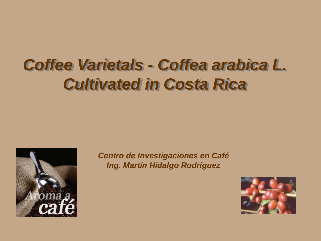# *Coffee Varietals - Coffea arabica L. Cultivated in Costa Rica*



*Centro de Investigaciones en Café Ing. Martín Hidalgo Rodríguez*

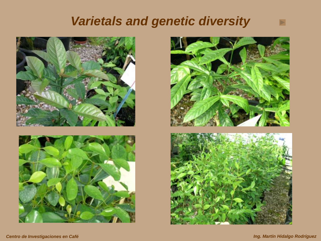### *Varietals and genetic diversity*







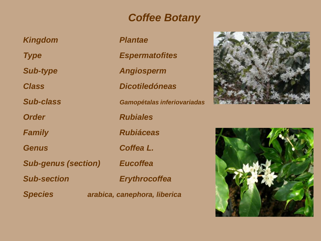#### *Coffee Botany*

*Kingdom Plantae*

*Sub-genus (section) Eucoffea*

*Type Espermatofites*

*Sub-type Angiosperm*

*Class Dicotiledóneas*

*Sub-class Gamopétalas inferiovariadas*

*Order Rubiales*

*Family Rubiáceas*

*Genus Coffea L.*

*Sub-section Erythrocoffea*

*Species arabica, canephora, liberica*



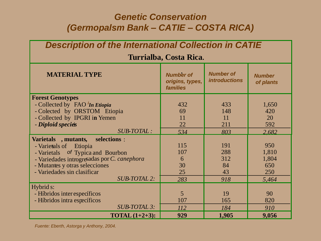#### *Genetic Conservation (Germopalsm Bank – CATIE – COSTA RICA)*

| <b>Description of the International Collection in CATIE</b>                                                                                                                                                                                  |                                                        |                                          |                                              |  |  |  |  |  |
|----------------------------------------------------------------------------------------------------------------------------------------------------------------------------------------------------------------------------------------------|--------------------------------------------------------|------------------------------------------|----------------------------------------------|--|--|--|--|--|
| Turrialba, Costa Rica.                                                                                                                                                                                                                       |                                                        |                                          |                                              |  |  |  |  |  |
| <b>MATERIAL TYPE</b>                                                                                                                                                                                                                         | <b>Number of</b><br>origins, types,<br><b>families</b> | <b>Number of</b><br><b>introductions</b> | <b>Number</b><br>of plants                   |  |  |  |  |  |
| <b>Forest Genotypes</b><br>- Collected by FAO <i>In Etiopia</i><br>- Colected by ORSTOM Etiopia<br>- Collected by IPGRI in Yemen<br>- Diploid species<br><b>SUB-TOTAL:</b>                                                                   | 432<br>69<br>11<br>22<br>534                           | 433<br>148<br>11<br>211<br>803           | 1,650<br>420<br>20<br>592<br>2.682           |  |  |  |  |  |
| Varietals, mutants,<br>selections :<br>- Varietals of<br>Etiopia<br>- Varietals of Typica and Bourbon<br>- Variedades introgresadas por C. canephora<br>- Mutantes y otras selecciones<br>- Variedades sin clasificar<br><b>SUB-TOTAL 2:</b> | 115<br>107<br>6<br>30<br>25<br>283                     | 191<br>288<br>312<br>84<br>43<br>918     | 950<br>1,810<br>1,804<br>650<br>250<br>5,464 |  |  |  |  |  |
| Hybrid s:<br>- Híbridos inter específicos<br>- Híbridos intra específicos<br><b>SUB-TOTAL 3:</b><br><b>TOTAL</b> $(1+2+3)$ :                                                                                                                 | 5<br>107<br><i>112</i><br>929                          | 19<br>165<br>184<br>1,905                | 90<br>820<br>910<br>9,056                    |  |  |  |  |  |

*Fuente: Eberth, Astorga y Anthony, 2004.*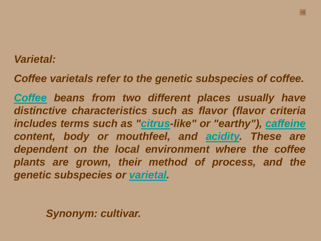#### *Varietal:*

*Coffee varietals refer to the genetic subspecies of coffee.*

*[Coffee](http://en.wikipedia.org/wiki/Coffee) beans from two different places usually have distinctive characteristics such as flavor (flavor criteria includes terms such as ["citrus](http://en.wikipedia.org/wiki/Citrus)-like" or "earthy"), [caffeine](http://en.wikipedia.org/wiki/Caffeine) content, body or mouthfeel, and [acidity.](http://en.wikipedia.org/wiki/Acidity) These are dependent on the local environment where the coffee plants are grown, their method of process, and the genetic subspecies or [varietal.](http://en.wikipedia.org/wiki/Varietal)*

*Synonym: cultivar.*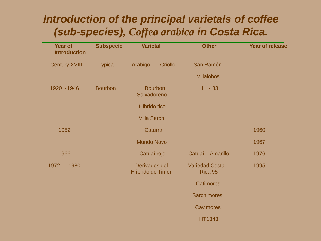#### *Introduction of the principal varietals of coffee (sub-species), Coffea arabica in Costa Rica.*

| <b>Year of</b><br><b>Introduction</b> | <b>Subspecie</b> | <b>Varietal</b>                   | <b>Other</b>                     | <b>Year of release</b> |
|---------------------------------------|------------------|-----------------------------------|----------------------------------|------------------------|
| <b>Century XVIII</b>                  | <b>Typica</b>    | Arábigo<br>- Criollo              | San Ramón                        |                        |
|                                       |                  |                                   | <b>Villalobos</b>                |                        |
| 1920 - 1946                           | <b>Bourbon</b>   | <b>Bourbon</b><br>Salvadoreño     | $H - 33$                         |                        |
|                                       |                  | Híbrido tico                      |                                  |                        |
|                                       |                  | <b>Villa Sarchí</b>               |                                  |                        |
| 1952                                  |                  | Caturra                           |                                  | 1960                   |
|                                       |                  | <b>Mundo Novo</b>                 |                                  | 1967                   |
| 1966                                  |                  | Catuaí rojo                       | Amarillo<br>Catuaí               | 1976                   |
| 1972 - 1980                           |                  | Derivados del<br>Híbrido de Timor | <b>Variedad Costa</b><br>Rica 95 | 1995                   |
|                                       |                  |                                   | <b>Catimores</b>                 |                        |
|                                       |                  |                                   | <b>Sarchimores</b>               |                        |
|                                       |                  |                                   | <b>Cavimores</b>                 |                        |
|                                       |                  |                                   | <b>HT1343</b>                    |                        |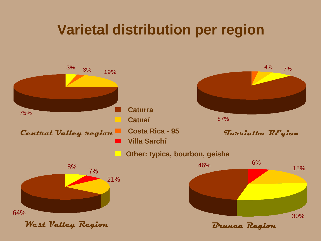### **Varietal distribution per region**

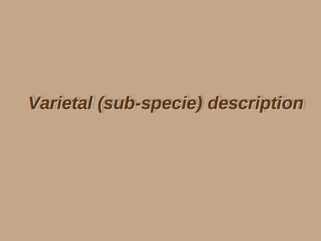# *Varietal (sub-specie) description*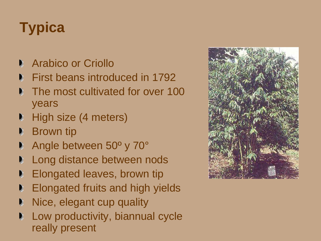# **Typica**

- **Arabico or Criollo**
- First beans introduced in 1792
- **The most cultivated for over 100** years
- High size (4 meters) D.
- Brown tip
- Angle between 50º y 70°
- Long distance between nods
- Elongated leaves, brown tip D
- Elongated fruits and high yields
- Nice, elegant cup quality
- Low productivity, biannual cycle really present

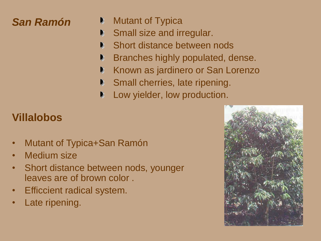#### *San Ramón*

- Mutant of Typica
- Small size and irregular. D.
- Short distance between nods
- Branches highly populated, dense.
- Known as jardinero or San Lorenzo
- Small cherries, late ripening.
- Low yielder, low production.

### **Villalobos**

- Mutant of Typica+San Ramón
- Medium size
- Short distance between nods, younger leaves are of brown color .
- Efficcient radical system.
- Late ripening.

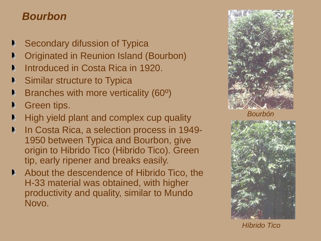#### *Bourbon*

- Secondary difussion of Typica n
- Originated in Reunion Island (Bourbon)
- Introduced in Costa Rica in 1920.
- Similar structure to Typica
- Branches with more verticality (60º)
- Green tips.
- High yield plant and complex cup quality
- In Costa Rica, a selection process in 1949- 1950 between Typica and Bourbon, give origin to Hibrido Tico (Hibrido Tico). Green tip, early ripener and breaks easily.
- About the descendence of Hibrido Tico, the H-33 material was obtained, with higher productivity and quality, similar to Mundo Novo.



*Bourbón*



*Híbrido Tico*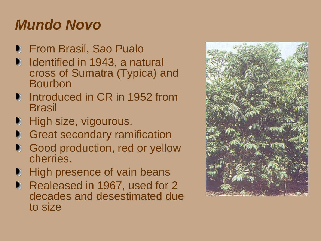## *Mundo Novo*

- **From Brasil, Sao Pualo**
- Identified in 1943, a natural D. cross of Sumatra (Typica) and Bourbon
- **Introduced in CR in 1952 from Brasil**
- High size, vigourous. D
- **Great secondary ramification**
- Good production, red or yellow cherries.
- High presence of vain beans D,
- Realeased in 1967, used for 2 decades and desestimated due to size

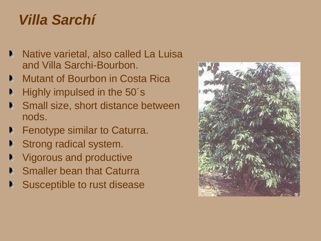## *Villa Sarchí*

- **Native varietal, also called La Luisa** and Villa Sarchi-Bourbon.
- **Mutant of Bourbon in Costa Rica**
- Highly impulsed in the 50´s D
- Small size, short distance between D. nods.
- Fenotype similar to Caturra. Đ.
- Strong radical system. n
- Vigorous and productive D
- Smaller bean that Caturra D.
- Susceptible to rust disease $\blacksquare$

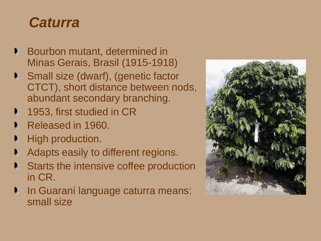### *Caturra*

- **Bourbon mutant, determined in** Minas Gerais, Brasil (1915-1918)
- Small size (dwarf), (genetic factor CTCT), short distance between nods, abundant secondary branching.
- 1953, first studied in CR D
- Released in 1960.
- High production. D
- Adapts easily to different regions. D
- Starts the intensive coffee production D. in CR.
- **In Guaraní language caturra means:** small size

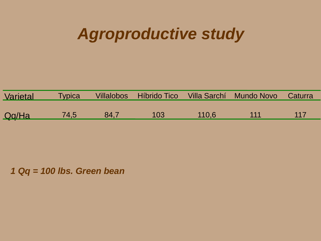## *Agroproductive study*

| Varietal     | <b>Typica</b> |      |     |       | Villalobos Híbrido Tico Villa Sarchí Mundo Novo Caturra |      |
|--------------|---------------|------|-----|-------|---------------------------------------------------------|------|
|              |               |      |     |       |                                                         |      |
| <u>Qq/Ha</u> | 74,5          | 84.7 | 103 | 110.6 | 111                                                     | -117 |

*1 Qq = 100 lbs. Green bean*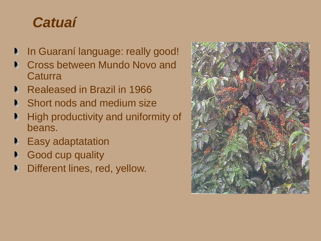## *Catuaí*

- In Guaraní language: really good! D
- Cross between Mundo Novo and n **Caturra**
- Realeased in Brazil in 1966
- Short nods and medium size D.
- High productivity and uniformity of D beans.
- Easy adaptatation D
- Good cup quality D
- Different lines, red, yellow. D.

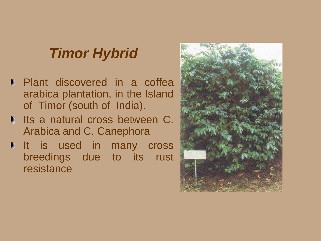## *Timor Hybrid*

- **Plant discovered in a coffea** arabica plantation, in the Island of Timor (south of India).
- **Its a natural cross between C.** Arabica and C. Canephora
- It is used in many cross breedings due to its rust resistance

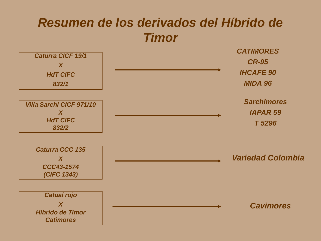### *Resumen de los derivados del Híbrido de Timor*

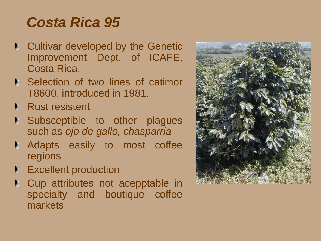### *Costa Rica 95*

- **Cultivar developed by the Genetic** Improvement Dept. of ICAFE, Costa Rica.
- **Selection of two lines of catimor** T8600, introduced in 1981.
- **Rust resistent**
- **Subsceptible to other plagues** such as *ojo de gallo, chasparria*
- **Adapts easily to most coffee** regions
- Excellent production D.
- Cup attributes not acepptable in D specialty and boutique coffee markets

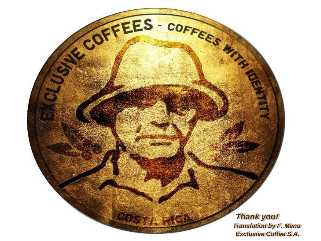*Thank you! Translation by F. Mena Exclusive Coffee S.A.*

SECOFFEES - COFFEES MAN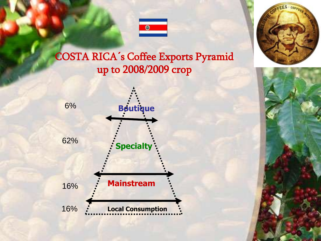

#### COSTA RICA´s Coffee Exports Pyramid up to 2008/2009 crop





26